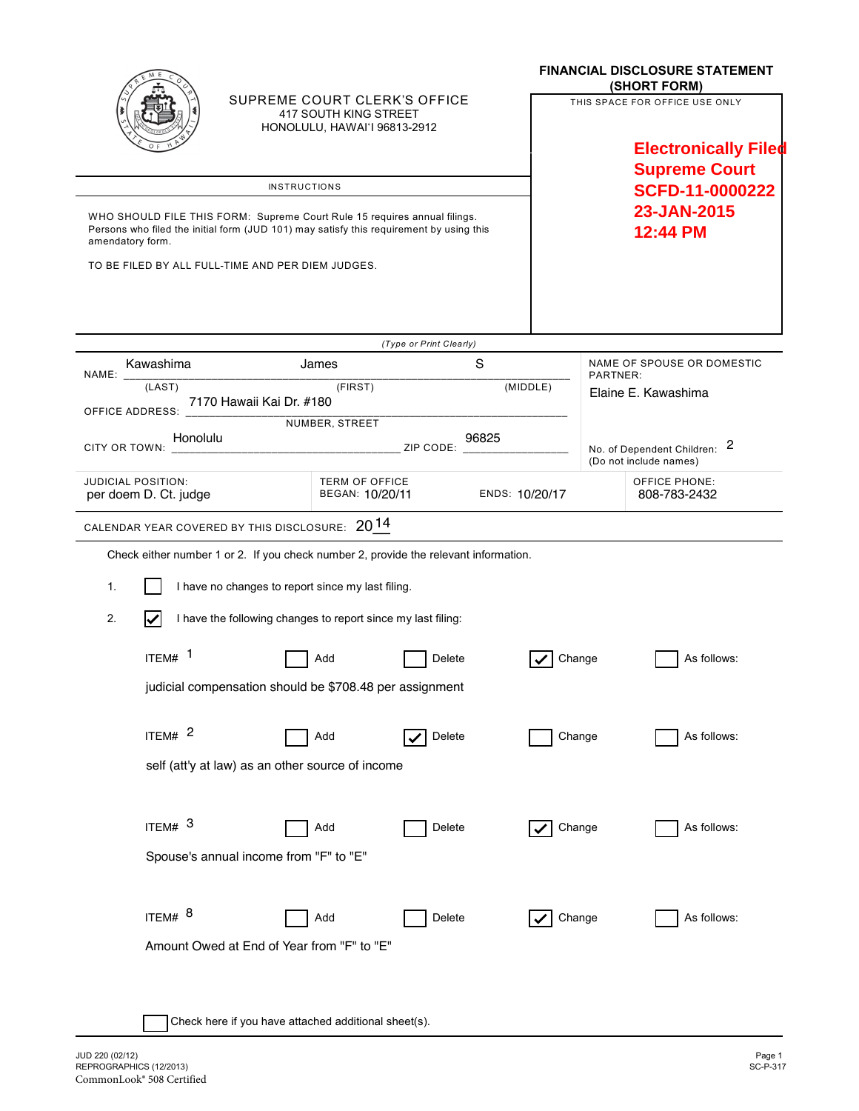|                                                                                                                                                                                          |                                                                                       |                                                              |                |                                                                                                   | <b>FINANCIAL DISCLOSURE STATEMENT</b><br>(SHORT FORM) |                                                               |  |  |
|------------------------------------------------------------------------------------------------------------------------------------------------------------------------------------------|---------------------------------------------------------------------------------------|--------------------------------------------------------------|----------------|---------------------------------------------------------------------------------------------------|-------------------------------------------------------|---------------------------------------------------------------|--|--|
|                                                                                                                                                                                          | SUPREME COURT CLERK'S OFFICE<br>417 SOUTH KING STREET<br>HONOLULU, HAWAI'I 96813-2912 |                                                              |                | THIS SPACE FOR OFFICE USE ONLY                                                                    |                                                       |                                                               |  |  |
|                                                                                                                                                                                          |                                                                                       |                                                              |                | <b>Electronically Filed</b><br><b>Supreme Court</b><br>SCFD-11-0000222<br>23-JAN-2015<br>12:44 PM |                                                       |                                                               |  |  |
| <b>INSTRUCTIONS</b>                                                                                                                                                                      |                                                                                       |                                                              |                |                                                                                                   |                                                       |                                                               |  |  |
| WHO SHOULD FILE THIS FORM: Supreme Court Rule 15 requires annual filings.<br>Persons who filed the initial form (JUD 101) may satisfy this requirement by using this<br>amendatory form. |                                                                                       |                                                              |                |                                                                                                   |                                                       |                                                               |  |  |
| TO BE FILED BY ALL FULL-TIME AND PER DIEM JUDGES.                                                                                                                                        |                                                                                       |                                                              |                |                                                                                                   |                                                       |                                                               |  |  |
|                                                                                                                                                                                          |                                                                                       | (Type or Print Clearly)                                      |                |                                                                                                   |                                                       |                                                               |  |  |
| Kawashima                                                                                                                                                                                | James                                                                                 |                                                              |                | S                                                                                                 |                                                       | NAME OF SPOUSE OR DOMESTIC<br>PARTNER:<br>Elaine E. Kawashima |  |  |
| NAME:<br>(LAST)<br><b>OFFICE ADDRESS:</b>                                                                                                                                                | (FIRST)<br>7170 Hawaii Kai Dr. #180                                                   |                                                              |                | (MIDDLE)                                                                                          |                                                       |                                                               |  |  |
| CITY OR TOWN:                                                                                                                                                                            | NUMBER, STREET<br>Honolulu<br>ZIP CODE:                                               |                                                              |                |                                                                                                   |                                                       | 2<br>No. of Dependent Children:<br>(Do not include names)     |  |  |
| <b>JUDICIAL POSITION:</b><br>per doem D. Ct. judge                                                                                                                                       |                                                                                       | <b>TERM OF OFFICE</b><br>BEGAN: 10/20/11                     | ENDS: 10/20/17 |                                                                                                   |                                                       | <b>OFFICE PHONE:</b><br>808-783-2432                          |  |  |
| CALENDAR YEAR COVERED BY THIS DISCLOSURE: 2014                                                                                                                                           |                                                                                       |                                                              |                |                                                                                                   |                                                       |                                                               |  |  |
| Check either number 1 or 2. If you check number 2, provide the relevant information.                                                                                                     |                                                                                       |                                                              |                |                                                                                                   |                                                       |                                                               |  |  |
| I have no changes to report since my last filing.<br>1.                                                                                                                                  |                                                                                       |                                                              |                |                                                                                                   |                                                       |                                                               |  |  |
| 2.<br>V                                                                                                                                                                                  |                                                                                       | I have the following changes to report since my last filing: |                |                                                                                                   |                                                       |                                                               |  |  |
| ITEM# $1$                                                                                                                                                                                |                                                                                       | Add                                                          | Delete         | Change                                                                                            |                                                       | As follows:                                                   |  |  |
| judicial compensation should be \$708.48 per assignment                                                                                                                                  |                                                                                       |                                                              |                |                                                                                                   |                                                       |                                                               |  |  |
| ITEM# $2$                                                                                                                                                                                | Add                                                                                   |                                                              | Delete         | Change                                                                                            |                                                       | As follows:                                                   |  |  |
|                                                                                                                                                                                          | self (att'y at law) as an other source of income                                      |                                                              |                |                                                                                                   |                                                       |                                                               |  |  |
| ITEM# $3$                                                                                                                                                                                |                                                                                       | Add                                                          | Delete         | Change                                                                                            |                                                       | As follows:                                                   |  |  |
| Spouse's annual income from "F" to "E"                                                                                                                                                   |                                                                                       |                                                              |                |                                                                                                   |                                                       |                                                               |  |  |
| ITEM# $8$                                                                                                                                                                                |                                                                                       | Add                                                          | Delete         | Change                                                                                            |                                                       | As follows:                                                   |  |  |
|                                                                                                                                                                                          |                                                                                       |                                                              |                |                                                                                                   |                                                       |                                                               |  |  |
|                                                                                                                                                                                          | Amount Owed at End of Year from "F" to "E"                                            |                                                              |                |                                                                                                   |                                                       |                                                               |  |  |
|                                                                                                                                                                                          |                                                                                       | Check here if you have attached additional sheet(s).         |                |                                                                                                   |                                                       |                                                               |  |  |